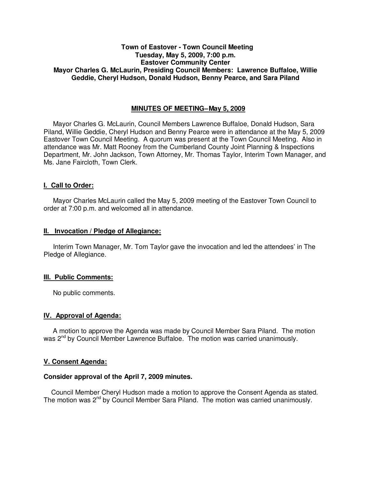# **Town of Eastover - Town Council Meeting Tuesday, May 5, 2009, 7:00 p.m. Eastover Community Center Mayor Charles G. McLaurin, Presiding Council Members: Lawrence Buffaloe, Willie Geddie, Cheryl Hudson, Donald Hudson, Benny Pearce, and Sara Piland**

#### **MINUTES OF MEETING-May 5, 2009**

Mayor Charles G. McLaurin, Council Members Lawrence Buffaloe, Donald Hudson, Sara Piland, Willie Geddie, Cheryl Hudson and Benny Pearce were in attendance at the May 5, 2009 Eastover Town Council Meeting. A quorum was present at the Town Council Meeting. Also in attendance was Mr. Matt Rooney from the Cumberland County Joint Planning & Inspections Department, Mr. John Jackson, Town Attorney, Mr. Thomas Taylor, Interim Town Manager, and Ms. Jane Faircloth, Town Clerk.

#### **I. Call to Order:**

Mayor Charles McLaurin called the May 5, 2009 meeting of the Eastover Town Council to order at 7:00 p.m. and welcomed all in attendance.

#### **II. Invocation / Pledge of Allegiance:**

 Interim Town Manager, Mr. Tom Taylor gave the invocation and led the attendees' in The Pledge of Allegiance.

#### **III. Public Comments:**

No public comments.

## **IV. Approval of Agenda:**

 A motion to approve the Agenda was made by Council Member Sara Piland. The motion was 2<sup>nd</sup> by Council Member Lawrence Buffaloe. The motion was carried unanimously.

## **V. Consent Agenda:**

#### **Consider approval of the April 7, 2009 minutes.**

 Council Member Cheryl Hudson made a motion to approve the Consent Agenda as stated. The motion was 2nd by Council Member Sara Piland. The motion was carried unanimously.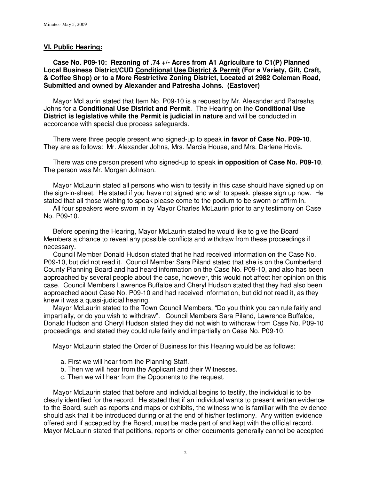#### **VI. Public Hearing:**

 **Case No. P09-10: Rezoning of .74 +/- Acres from A1 Agriculture to C1(P) Planned Local Business District/CUD Conditional Use District & Permit (For a Variety, Gift, Craft, & Coffee Shop) or to a More Restrictive Zoning District, Located at 2982 Coleman Road, Submitted and owned by Alexander and Patresha Johns. (Eastover)** 

 Mayor McLaurin stated that Item No. P09-10 is a request by Mr. Alexander and Patresha Johns for a **Conditional Use District and Permit**. The Hearing on the **Conditional Use District is legislative while the Permit is judicial in nature** and will be conducted in accordance with special due process safeguards.

 There were three people present who signed-up to speak **in favor of Case No. P09-10**. They are as follows: Mr. Alexander Johns, Mrs. Marcia House, and Mrs. Darlene Hovis.

 There was one person present who signed-up to speak **in opposition of Case No. P09-10**. The person was Mr. Morgan Johnson.

 Mayor McLaurin stated all persons who wish to testify in this case should have signed up on the sign-in-sheet. He stated if you have not signed and wish to speak, please sign up now. He stated that all those wishing to speak please come to the podium to be sworn or affirm in.

 All four speakers were sworn in by Mayor Charles McLaurin prior to any testimony on Case No. P09-10.

 Before opening the Hearing, Mayor McLaurin stated he would like to give the Board Members a chance to reveal any possible conflicts and withdraw from these proceedings if necessary.

 Council Member Donald Hudson stated that he had received information on the Case No. P09-10, but did not read it. Council Member Sara Piland stated that she is on the Cumberland County Planning Board and had heard information on the Case No. P09-10, and also has been approached by several people about the case, however, this would not affect her opinion on this case. Council Members Lawrence Buffaloe and Cheryl Hudson stated that they had also been approached about Case No. P09-10 and had received information, but did not read it, as they knew it was a quasi-judicial hearing.

 Mayor McLaurin stated to the Town Council Members, "Do you think you can rule fairly and impartially, or do you wish to withdraw". Council Members Sara Piland, Lawrence Buffaloe, Donald Hudson and Cheryl Hudson stated they did not wish to withdraw from Case No. P09-10 proceedings, and stated they could rule fairly and impartially on Case No. P09-10.

Mayor McLaurin stated the Order of Business for this Hearing would be as follows:

- a. First we will hear from the Planning Staff.
- b. Then we will hear from the Applicant and their Witnesses.
- c. Then we will hear from the Opponents to the request.

 Mayor McLaurin stated that before and individual begins to testify, the individual is to be clearly identified for the record. He stated that if an individual wants to present written evidence to the Board, such as reports and maps or exhibits, the witness who is familiar with the evidence should ask that it be introduced during or at the end of his/her testimony. Any written evidence offered and if accepted by the Board, must be made part of and kept with the official record. Mayor McLaurin stated that petitions, reports or other documents generally cannot be accepted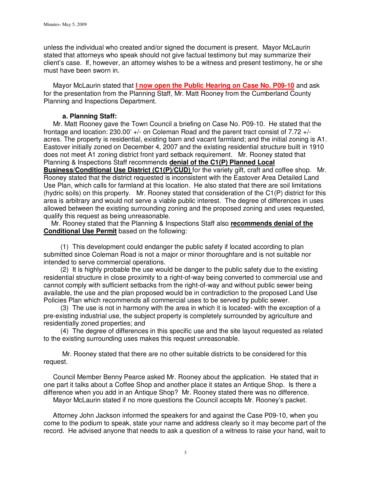unless the individual who created and/or signed the document is present. Mayor McLaurin stated that attorneys who speak should not give factual testimony but may summarize their client's case. If, however, an attorney wishes to be a witness and present testimony, he or she must have been sworn in.

 Mayor McLaurin stated that **I now open the Public Hearing on Case No. P09-10** and ask for the presentation from the Planning Staff, Mr. Matt Rooney from the Cumberland County Planning and Inspections Department.

# **a. Planning Staff:**

 Mr. Matt Rooney gave the Town Council a briefing on Case No. P09-10. He stated that the frontage and location: 230.00' +/- on Coleman Road and the parent tract consist of 7.72 +/ acres. The property is residential, existing barn and vacant farmland; and the initial zoning is A1. Eastover initially zoned on December 4, 2007 and the existing residential structure built in 1910 does not meet A1 zoning district front yard setback requirement. Mr. Rooney stated that Planning & Inspections Staff recommends **denial of the C1(P) Planned Local Business/Conditional Use District (C1(P)/CUD)** for the variety gift, craft and coffee shop. Mr.

Rooney stated that the district requested is inconsistent with the Eastover Area Detailed Land Use Plan, which calls for farmland at this location. He also stated that there are soil limitations (hydric soils) on this property. Mr. Rooney stated that consideration of the C1(P) district for this area is arbitrary and would not serve a viable public interest. The degree of differences in uses allowed between the existing surrounding zoning and the proposed zoning and uses requested, qualify this request as being unreasonable.

 Mr. Rooney stated that the Planning & Inspections Staff also **recommends denial of the Conditional Use Permit** based on the following:

 (1) This development could endanger the public safety if located according to plan submitted since Coleman Road is not a major or minor thoroughfare and is not suitable nor intended to serve commercial operations.

 (2) It is highly probable the use would be danger to the public safety due to the existing residential structure in close proximity to a right-of-way being converted to commercial use and cannot comply with sufficient setbacks from the right-of-way and without public sewer being available, the use and the plan proposed would be in contradiction to the proposed Land Use Policies Plan which recommends all commercial uses to be served by public sewer.

 (3) The use is not in harmony with the area in which it is located- with the exception of a pre-existing industrial use, the subject property is completely surrounded by agriculture and residentially zoned properties; and

 (4) The degree of differences in this specific use and the site layout requested as related to the existing surrounding uses makes this request unreasonable.

 Mr. Rooney stated that there are no other suitable districts to be considered for this request.

 Council Member Benny Pearce asked Mr. Rooney about the application. He stated that in one part it talks about a Coffee Shop and another place it states an Antique Shop. Is there a difference when you add in an Antique Shop? Mr. Rooney stated there was no difference.

Mayor McLaurin stated if no more questions the Council accepts Mr. Rooney's packet.

 Attorney John Jackson informed the speakers for and against the Case P09-10, when you come to the podium to speak, state your name and address clearly so it may become part of the record. He advised anyone that needs to ask a question of a witness to raise your hand, wait to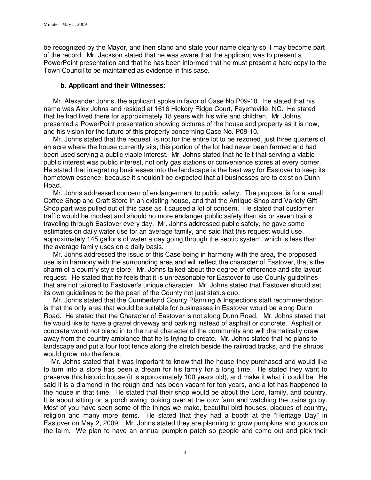be recognized by the Mayor, and then stand and state your name clearly so it may become part of the record. Mr. Jackson stated that he was aware that the applicant was to present a PowerPoint presentation and that he has been informed that he must present a hard copy to the Town Council to be maintained as evidence in this case.

## **b. Applicant and their Witnesses:**

 Mr. Alexander Johns, the applicant spoke in favor of Case No P09-10. He stated that his name was Alex Johns and resided at 1616 Hickory Ridge Court, Fayetteville, NC. He stated that he had lived there for approximately 18 years with his wife and children. Mr. Johns presented a PowerPoint presentation showing pictures of the house and property as it is now, and his vision for the future of this property concerning Case No. P09-10**.** 

Mr. Johns stated that the request is not for the entire lot to be rezoned, just three quarters of an acre where the house currently sits; this portion of the lot had never been farmed and had been used serving a public viable interest. Mr. Johns stated that he felt that serving a viable public interest was public interest, not only gas stations or convenience stores at every corner. He stated that integrating businesses into the landscape is the best way for Eastover to keep its hometown essence, because it shouldn't be expected that all businesses are to exist on Dunn Road.

 Mr. Johns addressed concern of endangerment to public safety. The proposal is for a small Coffee Shop and Craft Store in an existing house, and that the Antique Shop and Variety Gift Shop part was pulled out of this case as it caused a lot of concern. He stated that customer traffic would be modest and should no more endanger public safety than six or seven trains traveling through Eastover every day. Mr. Johns addressed public safety, he gave some estimates on daily water use for an average family, and said that this request would use approximately 145 gallons of water a day going through the septic system, which is less than the average family uses on a daily basis.

 Mr. Johns addressed the issue of this Case being in harmony with the area, the proposed use is in harmony with the surrounding area and will reflect the character of Eastover, that's the charm of a country style store. Mr. Johns talked about the degree of difference and site layout request. He stated that he feels that it is unreasonable for Eastover to use County guidelines that are not tailored to Eastover's unique character. Mr. Johns stated that Eastover should set its own guidelines to be the pearl of the County not just status quo.

 Mr. Johns stated that the Cumberland County Planning & Inspections staff recommendation is that the only area that would be suitable for businesses in Eastover would be along Dunn Road. He stated that the Character of Eastover is not along Dunn Road. Mr. Johns stated that he would like to have a gravel driveway and parking instead of asphalt or concrete. Asphalt or concrete would not blend in to the rural character of the community and will dramatically draw away from the country ambiance that he is trying to create. Mr. Johns stated that he plans to landscape and put a four foot fence along the stretch beside the railroad tracks, and the shrubs would grow into the fence.

 Mr. Johns stated that it was important to know that the house they purchased and would like to turn into a store has been a dream for his family for a long time. He stated they want to preserve this historic house (it is approximately 100 years old), and make it what it could be. He said it is a diamond in the rough and has been vacant for ten years, and a lot has happened to the house in that time. He stated that their shop would be about the Lord, family, and country. It is about sitting on a porch swing looking over at the cow farm and watching the trains go by. Most of you have seen some of the things we make, beautiful bird houses, plaques of country, religion and many more items. He stated that they had a booth at the "Heritage Day" in Eastover on May 2, 2009. Mr. Johns stated they are planning to grow pumpkins and gourds on the farm. We plan to have an annual pumpkin patch so people and come out and pick their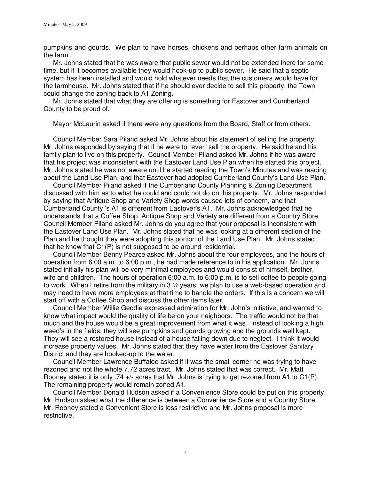pumpkins and gourds. We plan to have horses, chickens and perhaps other farm animals on the farm.

 Mr. Johns stated that he was aware that public sewer would not be extended there for some time, but if it becomes available they would hook-up to public sewer. He said that a septic system has been installed and would hold whatever needs that the customers would have for the farmhouse. Mr. Johns stated that if he should ever decide to sell this property, the Town could change the zoning back to A1 Zoning.

 Mr. Johns stated that what they are offering is something for Eastover and Cumberland County to be proud of.

Mayor McLaurin asked if there were any questions from the Board, Staff or from others.

 Council Member Sara Piland asked Mr. Johns about his statement of selling the property. Mr. Johns responded by saying that if he were to "ever" sell the property. He said he and his family plan to live on this property. Council Member Piland asked Mr. Johns if he was aware that his project was inconsistent with the Eastover Land Use Plan when he started this project. Mr. Johns stated he was not aware until he started reading the Town's Minutes and was reading about the Land Use Plan, and that Eastover had adopted Cumberland County's Land Use Plan.

 Council Member Piland asked if the Cumberland County Planning & Zoning Department discussed with him as to what he could and could not do on this property. Mr. Johns responded by saying that Antique Shop and Variety Shop words caused lots of concern, and that Cumberland County 's A1 is different from Eastover's A1. Mr. Johns acknowledged that he understands that a Coffee Shop, Antique Shop and Variety are different from a Country Store. Council Member Piland asked Mr. Johns do you agree that your proposal is inconsistent with the Eastover Land Use Plan. Mr. Johns stated that he was looking at a different section of the Plan and he thought they were adopting this portion of the Land Use Plan. Mr. Johns stated that he knew that C1(P) is not supposed to be around residential.

 Council Member Benny Pearce asked Mr. Johns about the four employees, and the hours of operation from 6:00 a.m. to 6:00 p.m., he had made reference to in his application. Mr. Johns stated initially his plan will be very minimal employees and would consist of himself, brother, wife and children. The hours of operation 6:00 a.m. to 6:00 p.m. is to sell coffee to people going to work. When I retire from the military in 3  $\frac{1}{2}$  years, we plan to use a web-based operation and may need to have more employees at that time to handle the orders. If this is a concern we will start off with a Coffee Shop and discuss the other items later.

 Council Member Willie Geddie expressed admiration for Mr. John's initiative, and wanted to know what impact would the quality of life be on your neighbors. The traffic would not be that much and the house would be a great improvement from what it was. Instead of looking a high weed's in the fields, they will see pumpkins and gourds growing and the grounds well kept. They will see a restored house instead of a house falling down due to neglect. I think it would increase property values. Mr. Johns stated that they have water from the Eastover Sanitary District and they are hooked-up to the water.

 Council Member Lawrence Buffaloe asked if it was the small corner he was trying to have rezoned and not the whole 7.72 acres tract. Mr. Johns stated that was correct. Mr. Matt Rooney stated it is only .74 +/- acres that Mr. Johns is trying to get rezoned from A1 to C1(P). The remaining property would remain zoned A1.

 Council Member Donald Hudson asked if a Convenience Store could be put on this property. Mr. Hudson asked what the difference is between a Convenience Store and a Country Store. Mr. Rooney stated a Convenient Store is less restrictive and Mr. Johns proposal is more restrictive.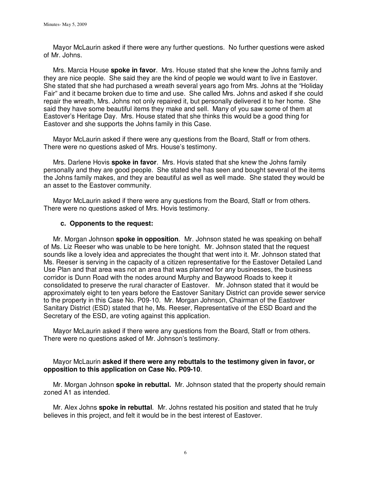Mayor McLaurin asked if there were any further questions. No further questions were asked of Mr. Johns.

 Mrs. Marcia House **spoke in favor**. Mrs. House stated that she knew the Johns family and they are nice people. She said they are the kind of people we would want to live in Eastover. She stated that she had purchased a wreath several years ago from Mrs. Johns at the "Holiday Fair" and it became broken due to time and use. She called Mrs. Johns and asked if she could repair the wreath, Mrs. Johns not only repaired it, but personally delivered it to her home. She said they have some beautiful items they make and sell. Many of you saw some of them at Eastover's Heritage Day. Mrs. House stated that she thinks this would be a good thing for Eastover and she supports the Johns family in this Case.

 Mayor McLaurin asked if there were any questions from the Board, Staff or from others. There were no questions asked of Mrs. House's testimony.

 Mrs. Darlene Hovis **spoke in favor**. Mrs. Hovis stated that she knew the Johns family personally and they are good people. She stated she has seen and bought several of the items the Johns family makes, and they are beautiful as well as well made. She stated they would be an asset to the Eastover community.

 Mayor McLaurin asked if there were any questions from the Board, Staff or from others. There were no questions asked of Mrs. Hovis testimony.

## **c. Opponents to the request:**

 Mr. Morgan Johnson **spoke in opposition**. Mr. Johnson stated he was speaking on behalf of Ms. Liz Reeser who was unable to be here tonight. Mr. Johnson stated that the request sounds like a lovely idea and appreciates the thought that went into it. Mr. Johnson stated that Ms. Reeser is serving in the capacity of a citizen representative for the Eastover Detailed Land Use Plan and that area was not an area that was planned for any businesses, the business corridor is Dunn Road with the nodes around Murphy and Baywood Roads to keep it consolidated to preserve the rural character of Eastover. Mr. Johnson stated that it would be approximately eight to ten years before the Eastover Sanitary District can provide sewer service to the property in this Case No. P09-10. Mr. Morgan Johnson, Chairman of the Eastover Sanitary District (ESD) stated that he, Ms. Reeser, Representative of the ESD Board and the Secretary of the ESD, are voting against this application.

 Mayor McLaurin asked if there were any questions from the Board, Staff or from others. There were no questions asked of Mr. Johnson's testimony.

# Mayor McLaurin **asked if there were any rebuttals to the testimony given in favor, or opposition to this application on Case No. P09-10**.

 Mr. Morgan Johnson **spoke in rebuttal.** Mr. Johnson stated that the property should remain zoned A1 as intended.

 Mr. Alex Johns **spoke in rebuttal**. Mr. Johns restated his position and stated that he truly believes in this project, and felt it would be in the best interest of Eastover.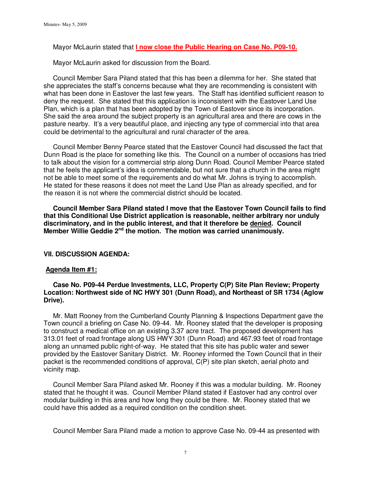Mayor McLaurin stated that **I now close the Public Hearing on Case No. P09-10.**

Mayor McLaurin asked for discussion from the Board.

 Council Member Sara Piland stated that this has been a dilemma for her. She stated that she appreciates the staff's concerns because what they are recommending is consistent with what has been done in Eastover the last few years. The Staff has identified sufficient reason to deny the request. She stated that this application is inconsistent with the Eastover Land Use Plan, which is a plan that has been adopted by the Town of Eastover since its incorporation. She said the area around the subject property is an agricultural area and there are cows in the pasture nearby. It's a very beautiful place, and injecting any type of commercial into that area could be detrimental to the agricultural and rural character of the area.

 Council Member Benny Pearce stated that the Eastover Council had discussed the fact that Dunn Road is the place for something like this. The Council on a number of occasions has tried to talk about the vision for a commercial strip along Dunn Road. Council Member Pearce stated that he feels the applicant's idea is commendable, but not sure that a church in the area might not be able to meet some of the requirements and do what Mr. Johns is trying to accomplish. He stated for these reasons it does not meet the Land Use Plan as already specified, and for the reason it is not where the commercial district should be located.

 **Council Member Sara Piland stated I move that the Eastover Town Council fails to find that this Conditional Use District application is reasonable, neither arbitrary nor unduly discriminatory, and in the public interest, and that it therefore be denied. Council Member Willie Geddie 2nd the motion. The motion was carried unanimously.** 

## **VII. DISCUSSION AGENDA:**

#### **Agenda Item #1:**

## **Case No. P09-44 Perdue Investments, LLC, Property C(P) Site Plan Review; Property Location: Northwest side of NC HWY 301 (Dunn Road), and Northeast of SR 1734 (Aglow Drive).**

 Mr. Matt Rooney from the Cumberland County Planning & Inspections Department gave the Town council a briefing on Case No. 09-44. Mr. Rooney stated that the developer is proposing to construct a medical office on an existing 3.37 acre tract. The proposed development has 313.01 feet of road frontage along US HWY 301 (Dunn Road) and 467.93 feet of road frontage along an unnamed public right-of-way. He stated that this site has public water and sewer provided by the Eastover Sanitary District. Mr. Rooney informed the Town Council that in their packet is the recommended conditions of approval, C(P) site plan sketch, aerial photo and vicinity map.

 Council Member Sara Piland asked Mr. Rooney if this was a modular building. Mr. Rooney stated that he thought it was. Council Member Piland stated if Eastover had any control over modular building in this area and how long they could be there. Mr. Rooney stated that we could have this added as a required condition on the condition sheet.

Council Member Sara Piland made a motion to approve Case No. 09-44 as presented with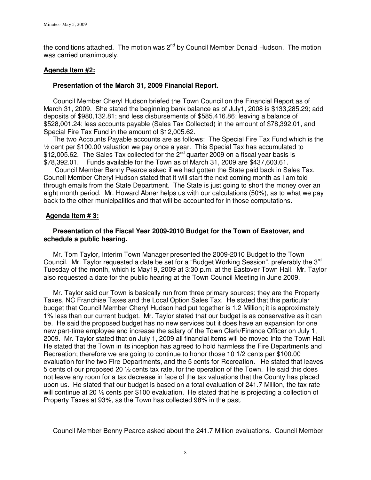the conditions attached. The motion was  $2^{nd}$  by Council Member Donald Hudson. The motion was carried unanimously.

## **Agenda Item #2:**

# **Presentation of the March 31, 2009 Financial Report.**

Council Member Cheryl Hudson briefed the Town Council on the Financial Report as of March 31, 2009. She stated the beginning bank balance as of July1, 2008 is \$133,285.29; add deposits of \$980,132.81; and less disbursements of \$585,416.86; leaving a balance of \$528,001.24; less accounts payable (Sales Tax Collected) in the amount of \$78,392.01, and Special Fire Tax Fund in the amount of \$12,005.62.

 The two Accounts Payable accounts are as follows: The Special Fire Tax Fund which is the ½ cent per \$100.00 valuation we pay once a year. This Special Tax has accumulated to  $$12,005.62$ . The Sales Tax collected for the  $2^{nd}$  quarter 2009 on a fiscal year basis is \$78,392.01. Funds available for the Town as of March 31, 2009 are \$437,603.61.

 Council Member Benny Pearce asked if we had gotten the State paid back in Sales Tax. Council Member Cheryl Hudson stated that it will start the next coming month as I am told through emails from the State Department. The State is just going to short the money over an eight month period. Mr. Howard Abner helps us with our calculations (50%), as to what we pay back to the other municipalities and that will be accounted for in those computations.

# **Agenda Item # 3:**

# **Presentation of the Fiscal Year 2009-2010 Budget for the Town of Eastover, and schedule a public hearing.**

 Mr. Tom Taylor, Interim Town Manager presented the 2009-2010 Budget to the Town Council. Mr. Taylor requested a date be set for a "Budget Working Session", preferably the 3rd Tuesday of the month, which is May19, 2009 at 3:30 p.m. at the Eastover Town Hall. Mr. Taylor also requested a date for the public hearing at the Town Council Meeting in June 2009.

Mr. Taylor said our Town is basically run from three primary sources; they are the Property Taxes, NC Franchise Taxes and the Local Option Sales Tax. He stated that this particular budget that Council Member Cheryl Hudson had put together is 1.2 Million; it is approximately 1% less than our current budget. Mr. Taylor stated that our budget is as conservative as it can be. He said the proposed budget has no new services but it does have an expansion for one new part-time employee and increase the salary of the Town Clerk/Finance Officer on July 1, 2009. Mr. Taylor stated that on July 1, 2009 all financial items will be moved into the Town Hall. He stated that the Town in its inception has agreed to hold harmless the Fire Departments and Recreation; therefore we are going to continue to honor those 10 1/2 cents per \$100.00 evaluation for the two Fire Departments, and the 5 cents for Recreation. He stated that leaves 5 cents of our proposed 20 ½ cents tax rate, for the operation of the Town. He said this does not leave any room for a tax decrease in face of the tax valuations that the County has placed upon us. He stated that our budget is based on a total evaluation of 241.7 Million, the tax rate will continue at 20 ½ cents per \$100 evaluation. He stated that he is projecting a collection of Property Taxes at 93%, as the Town has collected 98% in the past.

Council Member Benny Pearce asked about the 241.7 Million evaluations. Council Member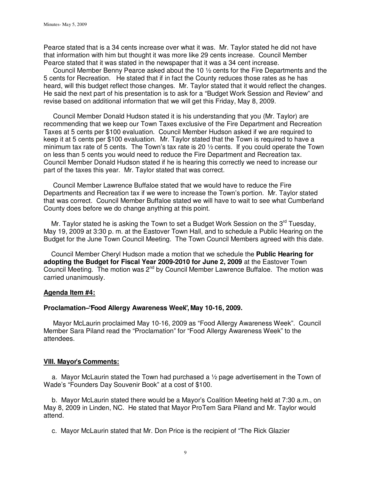Pearce stated that is a 34 cents increase over what it was. Mr. Taylor stated he did not have that information with him but thought it was more like 29 cents increase. Council Member Pearce stated that it was stated in the newspaper that it was a 34 cent increase.

 Council Member Benny Pearce asked about the 10 ½ cents for the Fire Departments and the 5 cents for Recreation. He stated that if in fact the County reduces those rates as he has heard, will this budget reflect those changes. Mr. Taylor stated that it would reflect the changes. He said the next part of his presentation is to ask for a "Budget Work Session and Review" and revise based on additional information that we will get this Friday, May 8, 2009.

 Council Member Donald Hudson stated it is his understanding that you (Mr. Taylor) are recommending that we keep our Town Taxes exclusive of the Fire Department and Recreation Taxes at 5 cents per \$100 evaluation. Council Member Hudson asked if we are required to keep it at 5 cents per \$100 evaluation. Mr. Taylor stated that the Town is required to have a minimum tax rate of 5 cents. The Town's tax rate is 20 ½ cents. If you could operate the Town on less than 5 cents you would need to reduce the Fire Department and Recreation tax. Council Member Donald Hudson stated if he is hearing this correctly we need to increase our part of the taxes this year. Mr. Taylor stated that was correct.

 Council Member Lawrence Buffaloe stated that we would have to reduce the Fire Departments and Recreation tax if we were to increase the Town's portion. Mr. Taylor stated that was correct. Council Member Buffaloe stated we will have to wait to see what Cumberland County does before we do change anything at this point.

Mr. Taylor stated he is asking the Town to set a Budget Work Session on the  $3<sup>rd</sup>$  Tuesday, May 19, 2009 at 3:30 p. m. at the Eastover Town Hall, and to schedule a Public Hearing on the Budget for the June Town Council Meeting. The Town Council Members agreed with this date.

 Council Member Cheryl Hudson made a motion that we schedule the **Public Hearing for adopting the Budget for Fiscal Year 2009-2010 for June 2, 2009** at the Eastover Town Council Meeting. The motion was 2<sup>nd</sup> by Council Member Lawrence Buffaloe. The motion was carried unanimously.

#### **Agenda Item #4:**

#### **Proclamation – "Food Allergy Awareness Week", May 10-16, 2009.**

 Mayor McLaurin proclaimed May 10-16, 2009 as "Food Allergy Awareness Week". Council Member Sara Piland read the "Proclamation" for "Food Allergy Awareness Week" to the attendees.

## **VIII. Mayor's Comments:**

a. Mayor McLaurin stated the Town had purchased a  $\frac{1}{2}$  page advertisement in the Town of Wade's "Founders Day Souvenir Book" at a cost of \$100.

b. Mayor McLaurin stated there would be a Mayor's Coalition Meeting held at 7:30 a.m., on May 8, 2009 in Linden, NC. He stated that Mayor ProTem Sara Piland and Mr. Taylor would attend.

c. Mayor McLaurin stated that Mr. Don Price is the recipient of "The Rick Glazier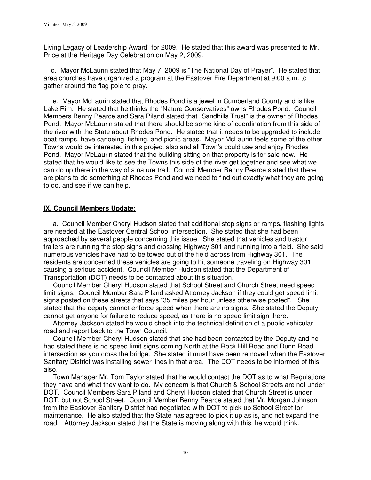Living Legacy of Leadership Award" for 2009. He stated that this award was presented to Mr. Price at the Heritage Day Celebration on May 2, 2009.

 d. Mayor McLaurin stated that May 7, 2009 is "The National Day of Prayer". He stated that area churches have organized a program at the Eastover Fire Department at 9:00 a.m. to gather around the flag pole to pray.

 e. Mayor McLaurin stated that Rhodes Pond is a jewel in Cumberland County and is like Lake Rim. He stated that he thinks the "Nature Conservatives" owns Rhodes Pond. Council Members Benny Pearce and Sara Piland stated that "Sandhills Trust" is the owner of Rhodes Pond. Mayor McLaurin stated that there should be some kind of coordination from this side of the river with the State about Rhodes Pond. He stated that it needs to be upgraded to include boat ramps, have canoeing, fishing, and picnic areas. Mayor McLaurin feels some of the other Towns would be interested in this project also and all Town's could use and enjoy Rhodes Pond. Mayor McLaurin stated that the building sitting on that property is for sale now. He stated that he would like to see the Towns this side of the river get together and see what we can do up there in the way of a nature trail. Council Member Benny Pearce stated that there are plans to do something at Rhodes Pond and we need to find out exactly what they are going to do, and see if we can help.

# **IX. Council Members Update:**

 a. Council Member Cheryl Hudson stated that additional stop signs or ramps, flashing lights are needed at the Eastover Central School intersection. She stated that she had been approached by several people concerning this issue. She stated that vehicles and tractor trailers are running the stop signs and crossing Highway 301 and running into a field. She said numerous vehicles have had to be towed out of the field across from Highway 301. The residents are concerned these vehicles are going to hit someone traveling on Highway 301 causing a serious accident. Council Member Hudson stated that the Department of Transportation (DOT) needs to be contacted about this situation.

 Council Member Cheryl Hudson stated that School Street and Church Street need speed limit signs. Council Member Sara Piland asked Attorney Jackson if they could get speed limit signs posted on these streets that says "35 miles per hour unless otherwise posted". She stated that the deputy cannot enforce speed when there are no signs. She stated the Deputy cannot get anyone for failure to reduce speed, as there is no speed limit sign there.

 Attorney Jackson stated he would check into the technical definition of a public vehicular road and report back to the Town Council.

 Council Member Cheryl Hudson stated that she had been contacted by the Deputy and he had stated there is no speed limit signs coming North at the Rock Hill Road and Dunn Road intersection as you cross the bridge. She stated it must have been removed when the Eastover Sanitary District was installing sewer lines in that area. The DOT needs to be informed of this also.

 Town Manager Mr. Tom Taylor stated that he would contact the DOT as to what Regulations they have and what they want to do. My concern is that Church & School Streets are not under DOT. Council Members Sara Piland and Cheryl Hudson stated that Church Street is under DOT, but not School Street. Council Member Benny Pearce stated that Mr. Morgan Johnson from the Eastover Sanitary District had negotiated with DOT to pick-up School Street for maintenance. He also stated that the State has agreed to pick it up as is, and not expand the road. Attorney Jackson stated that the State is moving along with this, he would think.